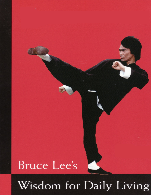# Bruce Lee's

# Wisdom for Daily Living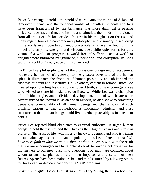Bruce Lee changed worlds--the world of martial arts, the worlds of Asian and American cinema, and the personal worlds of countless students and fans have been transformed by his brilliance. Far more than just a passing influence, Lee has continued to inspire and stimulate the minds of individuals from all walks of life for decades. Interest in his thought is on the rise and many regard him as a contemporary philosopher and visionary, discovering in his words an antidote to contemporary problems, as well as finding him a model of discipline, strength, and wisdom. Lee's philosophy forms for us a vision of a world of progress, a world free of suffering, and a world of enlightenment unflawed by ignorance, superstition, and corruption. In Lee's words, a world of "love, peace and brotherhood."

To Bruce Lee, philosophy was not the professional playground of academics, but every human being's gateway to the greatest adventure of the human spirit. It illuminated the frontiers of human possibility and obliterated the shadows of doubt and insecurity. Unlike others, content to follow, Bruce Lee insisted upon charting his own course toward truth, and he encouraged those who wished to share his insights to do likewise. While Lee was a champion of individual rights and individual development, both of which stress the sovereignty of the individual as an end in himself, he also spoke to something deeper-the commonality of all human beings and the removal of such artificial barriers to true brotherhood as nationality, ethnicity, and class structure, so that human beings could live together peaceably as independent equals.

Bruce Lee rejected blind obedience to external authority. He urged human beings to hold themselves and their lives as their highest values and wrote in praise of "the artist of life" who lives by his own judgment and who is willing to stand alone against tradition and popular opinion. Lee pointed out that "We have more faith in what we imitate than in what we originate," with the result that we are encouraged-and have opted-to look to anyone but ourselves for the answers to our most unsettling questions. Too many are confused about whom to trust, suspicious of their own impulses and uncertain of their futures. Spirits have been malnourished and minds stunted by allowing others to "take over" or decide what constitute "real" problems.

Striking Thoughts: Bruce Lee's Wisdom for Daily Living, then, is a book for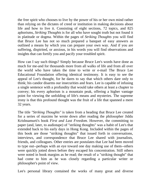the free spirit who chooses to live by the power of his or her own mind rather than relying on the dictates of creed or institution in making decisions about life and how to live it. Consisting of eight sections, 72 topics, and 825 aphorisms, *Striking Thoughts* is for all who have sought truth but not found it in platitude or dogma. Within the pages of Striking Thoughts you will find that Bruce Lee has not so much prepared a banquet of easy answers as outlined a means by which you can prepare your own way. And if you are suffering, dispirited, or anxious, in his words you will find observations and insights that can fortify you and pacify your troubled spirit.

How can I say such things? Simply because Bruce Lee's words have done as much for me-and for thousands more from all walks of life and from all over the world who have taken the time to write or e-mail The Bruce Lee Educational Foundation offering identical testimony. It is easy to see the appeal of Lee's thought, for he dares to say that which others dare only to think; his candor disarms our insecurities and fears. Lee is capable of infusing a single sentence with a profundity that would take others at least a chapter to convey; his every aphorism is a mountain peak, offering a higher vantage point for viewing the unfolding of life's means and mysteries. The supreme irony is that this profound thought was the fruit of a life that spanned a mere 32 years.

The title "Striking Thoughts" is taken from a heading that Bruce Lee created for a series of maxims he wrote down after reading the philosopher Jiddu Krishnamurti's book First and Last Freedom. However, the committing to paper (and, later, to audiotape) of "striking thoughts" was a habit of Lee's that extended back to his early days in Hong Kong. Included within the pages of this book are those "striking thoughts" that issued forth in conversations, interviews, and correspondence that Bruce Lee shared with journalists, friends, and colleagues. Other entries are postulates that Lee had been moved to type out--perhaps with an eye toward one day making use of them--others were quickly jotted down before they escaped his concentration. Still others were noted in book margins as he read; the result of a "striking thought" that had come to him as he was closely regarding a particular writer or philosopher's point of view.

Lee's personal library contained the works of many great and diverse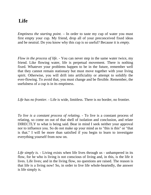## Life

*Emptiness the starting point.*  $-$  In order to taste my cup of water you must first empty your cup. My friend, drop all of your preconceived fixed ideas and be neutral. Do you know why this cup is so useful? Because it is *empty*.

Flow in the process of life. - You can never step in the same water twice, my friend. Like flowing water, life is perpetual movement. There is nothing fixed. Whatever your problems happen to be in the future, remember well that they cannot remain stationary but must move together with your living spirit. Otherwise, you will drift into artificiality or attempt to solidify the ever-flowing. To avoid that, you must change and be flexible. Remember, the usefulness of a cup is in its emptiness.

Life has no frontier. - Life is wide, limitless. There is no border, no frontier.

To live is a constant process of relating. - To live is a constant process of relating, so come on out of that shell of isolation and conclusion, and relate DIRECTLY to what is being said. Bear in mind I seek neither your approval nor to influence you. So do not make up your mind as to "this is this" or "that is that." I will be more than satisfied if you begin to learn to investigate everything yourself from now on.

Life simply is. - Living exists when life lives through us - unhampered in its flow, for he who is living is not conscious of living and, in this, is the life it lives. Life lives; and in the living flow, no questions are raised. The reason is that life is a living now! So, in order to live life whole-heartedly, the answer is life simply is.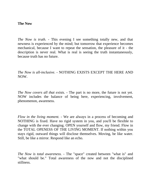#### **The Now**

The Now is truth. - This evening I see something totally new, and that newness is experienced by the mind; but tomorrow that experience becomes mechanical, because I want to repeat the sensation, the pleasure of it - the description is never real. What is real is seeing the truth instantaneously, because truth has no future.

The Now is all-inclusive. - NOTHING EXISTS EXCEPT THE HERE AND NOW.

The Now covers all that exists. - The part is no more, the future is not yet. NOW includes the balance of being here, experiencing, involvement, phenomenon, awareness.

Flow in the living moment. - We are always in a process of becoming and NOTHING is fixed. Have no rigid system in you, and you'll be flexible to change with the ever changing. OPEN yourself and flow, my friend. Flow in the TOTAL OPENESS OF THE LIVING MOMENT. If nothing within you stays rigid, outward things will disclose themselves. Moving, be like water. Still, be like a mirror. Respond like an echo.

The Now is total awareness. - The "space" created between "what is" and "what should be." Total awareness of the now and not the disciplined stillness.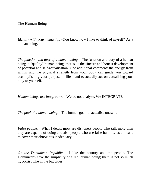#### **The Human Being**

Identify with your humanity. -You know how I like to think of myself? As a human being.

The function and duty of a human being. - The function and duty of a human being, a "quality" human being, that is, is the sincere and honest development of potential and self-actualisation. One additional comment: the energy from within and the physical strength from your body can guide you toward accomplishing your purpose in life - and to actually act on actualising your duty to yourself.

Human beings are integrators. - We do not analyze. We INTEGRATE.

The goal of a human being. - The human goal: to actualise oneself.

False people. - What I detest most are dishonest people who talk more than they are capable of doing and also people who use false humility as a means to cover their obnoxious inadequacy.

On the Dominican Republic. - I like the country and the people. The Dominicans have the simplicity of a real human being; there is not so much hypocrisy like in the big cities.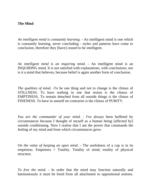#### **The Mind**

An intelligent mind is constantly learning. - An intelligent mind is one which is constantly learning, never concluding - styles and patterns have come to conclusion, therefore they [have] ceased to be intelligent.

An intelligent mind is an inquiring mind. - An intelligent mind is an INQUIRING mind. It is not satisfied with explanations, with conclusions; nor is it a mind that believes, because belief is again another form of conclusion.

The qualities of mind. -To be one thing and not to change is the climax of STILLNESS. To have nothing in one that resists is the climax of EMPTINESS. To remain detached from all outside things is the climax of FINENESS. To have in oneself no contraries is the climax of PURITY.

You are the commander of your mind. - I've always been buffeted by circumstances because I thought of myself as a human being [affected by] outside conditioning. Now I realise that I am the power that commands the feeling of my mind and from which circumstances grow.

On the value of keeping an open mind. - The usefulness of a cup is in its emptiness. Emptiness = Totality. Totality of mind; totality of physical structure.

To free the mind. - In order that the mind may function naturally and harmoniously it must be freed from all attachment to oppositional notions.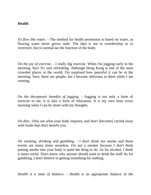#### **Health**

To flow like water. - The method for health promotion is based on water, as flowing water never grows stale. The idea is not to overdevelop or to overexert, but to normal-ise the function of the body.

On the joy of exercise. - I really dig exercise. When I'm jogging early in the morning, boy! It's sure refreshing. Although Hong Kong is one of the most crowded places in the world, I'm surprised how peaceful it can be in the morning. Sure, there are people, but I become oblivious to them while I am running.

On the therapeutic benefits of jogging. - Jogging is not only a form of exercise to me, it is also a form of relaxation. It is my own hour every morning when I can be alone with my thoughts.

On diet.- Only eat what your body requires, and don't [become] carried away with foods that don't benefit you.

On smoking, drinking and gambling. - I don't drink nor smoke and those events are many times senseless. I'm not a smoker because I don't think putting smoke into your body is quite the thing to do. As for alcohol, I think it tastes awful. Don't know why anyone should want to drink the stuff As for gambling, I don't believe in getting something for nothing.

Health is a state of balance. - Health is an appropriate balance of the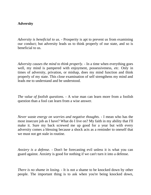#### **Adversity**

Adversity is beneficial to us. - Prosperity is apt to prevent us from examining our conduct; but adversity leads us to think properly of our state, and so is beneficial to us.

Adversity causes the mind to think properly. - In a time when everything goes well, my mind is pampered with enjoyment, possessiveness, etc. Only in times of adversity, privation, or mishap, does my mind function and think properly of my state. This close examination of self strengthens my mind and leads me to understand and be understood.

The value of foolish questions. - A wise man can learn more from a foolish question than a fool can learn from a wise answer.

Never waste energy on worries and negative thoughts. - I mean who has the most insecure job as I have? What do I live on? My faith in my ability that I'll make it. Sure my back screwed me up good for a year but with every adversity comes a blessing because a shock acts as a reminder to oneself that we must not get stale in routine.

Anxiery is a defense. - Don't be forecasting evil unless it is what you can guard against. Anxiety is good for nothing if we can't turn it into a defense.

There is no shame in losing. - It is not a shame to be knocked down by other people. The important thing is to ask when you're being knocked down,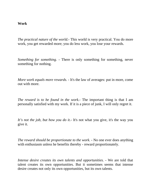#### Work

The practical nature of the world.- This world is very practical. You do more work, you get rewarded more; you do less work, you lose your rewards.

Something for something. - There is only something for something, never something for nothing.

More work equals more rewards. - It's the law of averages: put in more, come out with more.

The reward is to be found in the work.- The important thing is that I am personally satisfied with my work. If it is a piece of junk, I will only regret it.

It's not the job, but how you do it.- It's not what you give, it's the way you give it.

The reward should be proportionate to the work. - No one ever does anything with enthusiasm unless he benefits thereby - reward proportionately.

Intense desire creates its own talents and opportunities. - We are told that talent creates its own opportunities. But it sometimes seems that intense desire creates not only its own opportunities, but its own talents.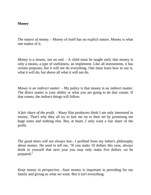#### **Money**

The nature of money. - Money of itself has no explicit nature. Money is what one makes of it.

Money is a means, not an end. - A child must be taught early that money is only a means, a type of usefulness, an implement. Like all instruments, it has certain purposes, but it will not do everything. One must learn how to use it, what it will do, but above all what it will not do.

Money is an indirect matter. - My policy is that money is an indirect matter. The direct matter is your ability or what you are going to do that counts. If that comes, the indirect things will follow.

A fair share of the profit. - Many film producers think I am only interested in money. That's why they all try to lure me on to their set by promising me huge sums and nothing else. But, at heart, I only want a fair share of the profit.

The good times will not always last.- I profited from my father's philosophy about money. He used to tell me, "If you make 10 dollars this year, always think to yourself that next year you may only make five dollars -so be prepared."

Keep money in perspective. -Sure money is important in providing for my family and giving us what we want. But it isn't everything.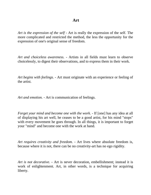Art is the expression of the self - Art is really the expression of the self. The more complicated and restricted the method, the less the opportunity for the expression of one's original sense of freedom.

Art and choiceless awareness. - Artists in all fields must learn to observe choicelessly, to digest their observations, and to express them in their work.

Art begins with feelings. - Art must originate with an experience or feeling of the artist.

Art and emotion. - Art is communication of feelings.

Forget your mind and become one with the work. - If [one] has any idea at all of displaying his art well, he ceases to be a good artist, for his mind "stops" with every movement he goes through. In all things, it is important to forget your "mind" and become one with the work at hand.

Art requires creativity and freedom. - Art lives where absolute freedom is, because where it is not, there can be no creativity-art has no ego rigidity.

Art is not decorative. - Art is never decoration, embellishment; instead it is work of enlightenment. Art, in other words, is a technique for acquiring liberty.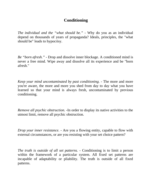### **Conditioning**

The individual and the "what should be." - Why do you as an individual depend on thousands of years of propaganda? Ideals, principles, the "what should be" leads to hypocrisy.

Be "born afresh." - Drop and dissolve inner blockage. A conditioned mind is never a free mind. Wipe away and dissolve all its experience and be "born afresh."

Keep your mind uncontaminated by past conditioning. - The more and more you're aware, the more and more you shed from day to day what you have learned so that your mind is always fresh, uncontaminated by previous conditioning.

Remove all psychic obstruction. - In order to display its native activities to the utmost limit, remove all psychic obstruction.

Drop your inner resistance. - Are you a flowing entity, capable to flow with external circumstances, or are you resisting with your set choice pattern?

The truth is outside of all set patterns. - Conditioning is to limit a person within the framework of a particular system. All fixed set patterns are incapable of adaptability or pliability. The truth is outside of all fixed patterns.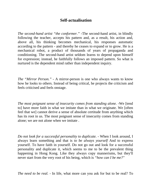### **Self-actualisation**

The second-hand artist "the conformer." -The second-hand artist, in blindly following the teacher, accepts his pattern and, as a result, his action and, above all, his thinking becomes mechanical, his responses automatic according to the pattern - and thereby he ceases to expand or to grow. He is a mechanical robot, a product of thousands of years of propaganda and conditioning. The second-hand artist seldom learns to depend upon himself for expression; instead, he faithfully follows an imposed pattern. So what is nurtured is the dependent mind rather than independent inquiry.

The "Mirror Person." - A mirror-person is one who always wants to know how he looks to others. Instead of being critical, he projects the criticism and feels criticised and feels onstage.

The most poignant sense of insecurity comes from standing alone. -We [tend] to] have more faith in what we imitate than in what we originate. We [often feel that we] cannot derive a sense of absolute certitude from anything which has its root in us. The most poignant sense of insecurity comes from standing alone; we are not alone when we imitate.

Do not look for a successful personality to duplicate. - When I look around, I always learn something and that is to be always yourself And to express yourself. To have faith in yourself. Do not go out and look for a successful personality and duplicate it, which seems to me to be the prevalent thing happening in Hong Kong. Like they always copy mannerisms, but they'll never start from the very root of his being, which is "how can I be me?"

The need to be real. - In life, what more can you ask for but to be real? To